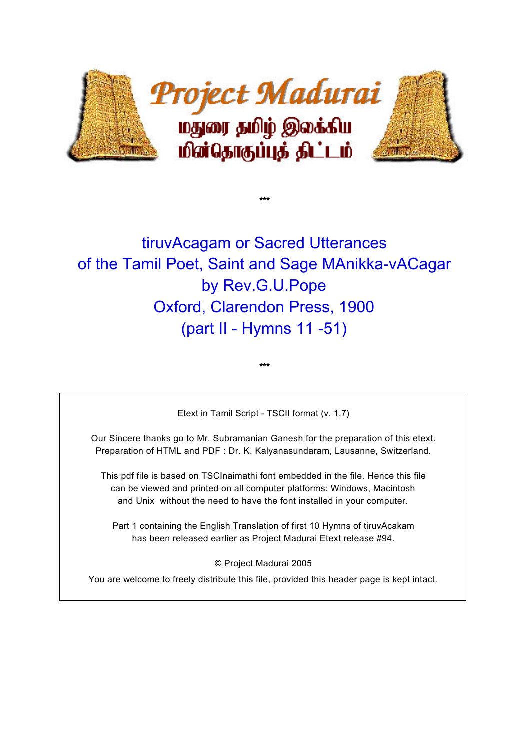

**\*\*\***

# tiruvAcagam or Sacred Utterances of the Tamil Poet, Saint and Sage MAnikka-vACagar by Rev.G.U.Pope Oxford, Clarendon Press, 1900 (part II - Hymns 11 -51)

Etext in Tamil Script - TSCII format (v. 1.7)

**\*\*\***

Our Sincere thanks go to Mr. Subramanian Ganesh for the preparation of this etext. Preparation of HTML and PDF : Dr. K. Kalyanasundaram, Lausanne, Switzerland.

This pdf file is based on TSCInaimathi font embedded in the file. Hence this file can be viewed and printed on all computer platforms: Windows, Macintosh and Unix without the need to have the font installed in your computer.

Part 1 containing the English Translation of first 10 Hymns of tiruvAcakam has been released earlier as Project Madurai Etext release #94.

© Project Madurai 2005

You are welcome to freely distribute this file, provided this header page is kept intact.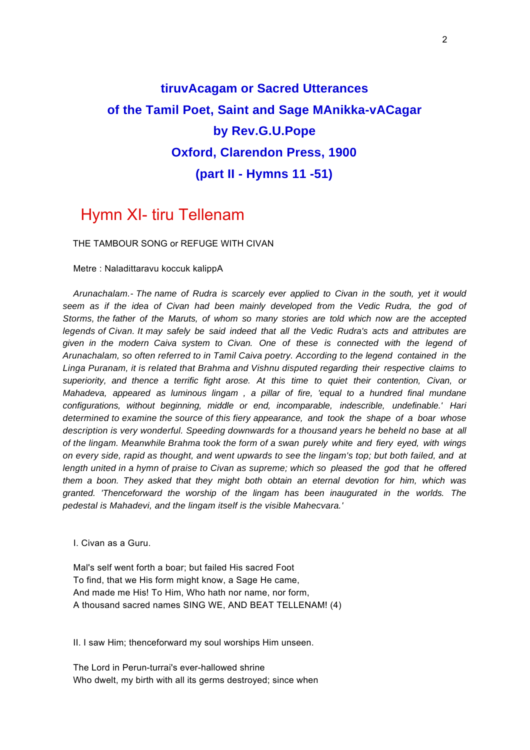## **tiruvAcagam or Sacred Utterances of the Tamil Poet, Saint and Sage MAnikka-vACagar by Rev.G.U.Pope Oxford, Clarendon Press, 1900 (part II - Hymns 11 -51)**

### Hymn XI- tiru Tellenam

THE TAMBOUR SONG or REFUGE WITH CIVAN

Metre : Naladittaravu koccuk kalippA

 *Arunachalam.- The name of Rudra is scarcely ever applied to Civan in the south, yet it would seem as if the idea of Civan had been mainly developed from the Vedic Rudra, the god of Storms, the father of the Maruts, of whom so many stories are told which now are the accepted legends of Civan. It may safely be said indeed that all the Vedic Rudra's acts and attributes are given in the modern Caiva system to Civan. One of these is connected with the legend of Arunachalam, so often referred to in Tamil Caiva poetry. According to the legend contained in the Linga Puranam, it is related that Brahma and Vishnu disputed regarding their respective claims to superiority, and thence a terrific fight arose. At this time to quiet their contention, Civan, or Mahadeva, appeared as luminous lingam , a pillar of fire, 'equal to a hundred final mundane configurations, without beginning, middle or end, incomparable, indescrible, undefinable.' Hari determined to examine the source of this fiery appearance, and took the shape of a boar whose description is very wonderful. Speeding downwards for a thousand years he beheld no base at all of the lingam. Meanwhile Brahma took the form of a swan purely white and fiery eyed, with wings on every side, rapid as thought, and went upwards to see the lingam's top; but both failed, and at length united in a hymn of praise to Civan as supreme; which so pleased the god that he offered them a boon. They asked that they might both obtain an eternal devotion for him, which was granted. 'Thenceforward the worship of the lingam has been inaugurated in the worlds. The pedestal is Mahadevi, and the lingam itself is the visible Mahecvara.'*

I. Civan as a Guru.

 Mal's self went forth a boar; but failed His sacred Foot To find, that we His form might know, a Sage He came, And made me His! To Him, Who hath nor name, nor form, A thousand sacred names SING WE, AND BEAT TELLENAM! (4)

II. I saw Him; thenceforward my soul worships Him unseen.

 The Lord in Perun-turrai's ever-hallowed shrine Who dwelt, my birth with all its germs destroyed; since when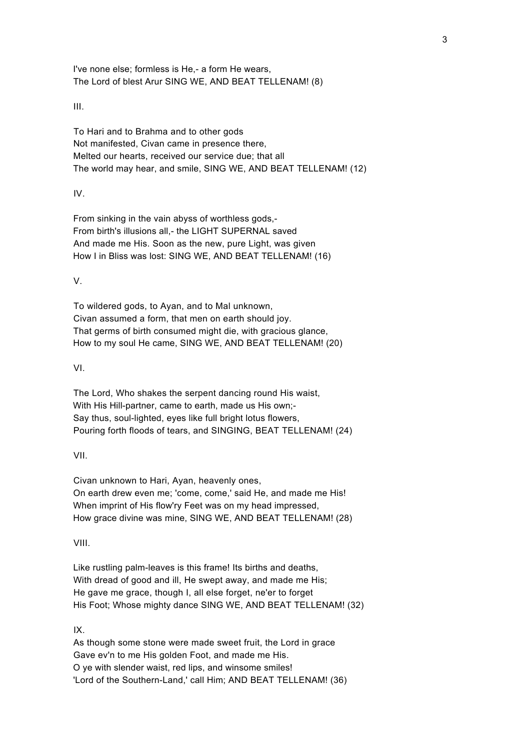I've none else; formless is He,- a form He wears, The Lord of blest Arur SING WE, AND BEAT TELLENAM! (8)

III.

 To Hari and to Brahma and to other gods Not manifested, Civan came in presence there, Melted our hearts, received our service due; that all The world may hear, and smile, SING WE, AND BEAT TELLENAM! (12)

IV.

 From sinking in the vain abyss of worthless gods,- From birth's illusions all,- the LIGHT SUPERNAL saved And made me His. Soon as the new, pure Light, was given How I in Bliss was lost: SING WE, AND BEAT TELLENAM! (16)

V.

 To wildered gods, to Ayan, and to Mal unknown, Civan assumed a form, that men on earth should joy. That germs of birth consumed might die, with gracious glance, How to my soul He came, SING WE, AND BEAT TELLENAM! (20)

VI.

 The Lord, Who shakes the serpent dancing round His waist, With His Hill-partner, came to earth, made us His own;- Say thus, soul-lighted, eyes like full bright lotus flowers, Pouring forth floods of tears, and SINGING, BEAT TELLENAM! (24)

VII.

 Civan unknown to Hari, Ayan, heavenly ones, On earth drew even me; 'come, come,' said He, and made me His! When imprint of His flow'ry Feet was on my head impressed, How grace divine was mine, SING WE, AND BEAT TELLENAM! (28)

VIII.

 Like rustling palm-leaves is this frame! Its births and deaths, With dread of good and ill, He swept away, and made me His; He gave me grace, though I, all else forget, ne'er to forget His Foot; Whose mighty dance SING WE, AND BEAT TELLENAM! (32)

IX.

 As though some stone were made sweet fruit, the Lord in grace Gave ev'n to me His golden Foot, and made me His. O ye with slender waist, red lips, and winsome smiles! 'Lord of the Southern-Land,' call Him; AND BEAT TELLENAM! (36)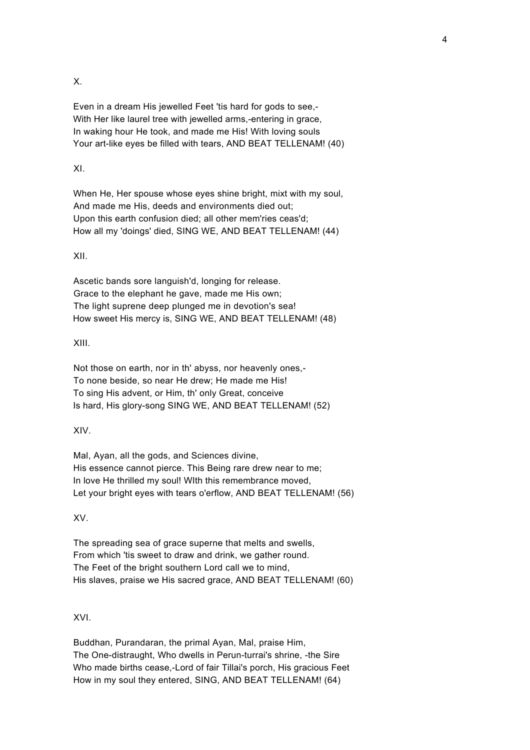X.

 Even in a dream His jewelled Feet 'tis hard for gods to see,- With Her like laurel tree with jewelled arms,-entering in grace, In waking hour He took, and made me His! With loving souls Your art-like eyes be filled with tears, AND BEAT TELLENAM! (40)

#### XI.

 When He, Her spouse whose eyes shine bright, mixt with my soul, And made me His, deeds and environments died out; Upon this earth confusion died; all other mem'ries ceas'd; How all my 'doings' died, SING WE, AND BEAT TELLENAM! (44)

XII.

 Ascetic bands sore languish'd, longing for release. Grace to the elephant he gave, made me His own; The light suprene deep plunged me in devotion's sea! How sweet His mercy is, SING WE, AND BEAT TELLENAM! (48)

XIII.

 Not those on earth, nor in th' abyss, nor heavenly ones,- To none beside, so near He drew; He made me His! To sing His advent, or Him, th' only Great, conceive Is hard, His glory-song SING WE, AND BEAT TELLENAM! (52)

XIV.

 Mal, Ayan, all the gods, and Sciences divine, His essence cannot pierce. This Being rare drew near to me; In love He thrilled my soul! WIth this remembrance moved, Let your bright eyes with tears o'erflow, AND BEAT TELLENAM! (56)

XV.

 The spreading sea of grace superne that melts and swells, From which 'tis sweet to draw and drink, we gather round. The Feet of the bright southern Lord call we to mind, His slaves, praise we His sacred grace, AND BEAT TELLENAM! (60)

XVI.

 Buddhan, Purandaran, the primal Ayan, Mal, praise Him, The One-distraught, Who dwells in Perun-turrai's shrine, -the Sire Who made births cease,-Lord of fair Tillai's porch, His gracious Feet How in my soul they entered, SING, AND BEAT TELLENAM! (64)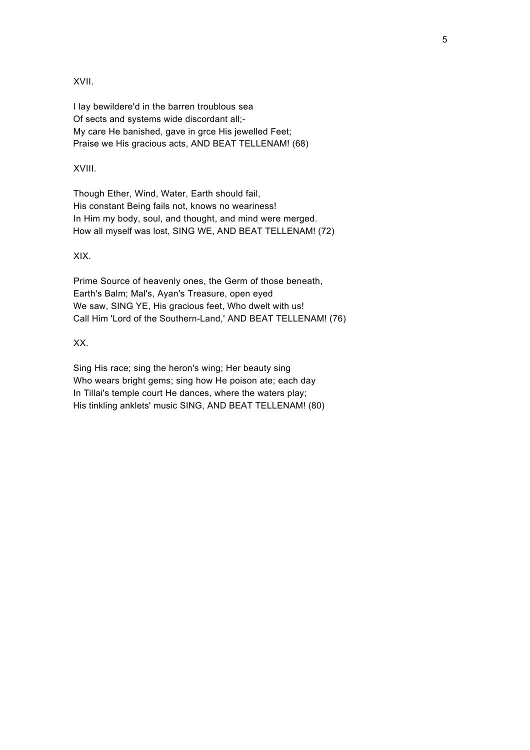XVII.

 I lay bewildere'd in the barren troublous sea Of sects and systems wide discordant all;- My care He banished, gave in grce His jewelled Feet; Praise we His gracious acts, AND BEAT TELLENAM! (68)

#### XVIII.

 Though Ether, Wind, Water, Earth should fail, His constant Being fails not, knows no weariness! In Him my body, soul, and thought, and mind were merged. How all myself was lost, SING WE, AND BEAT TELLENAM! (72)

XIX.

 Prime Source of heavenly ones, the Germ of those beneath, Earth's Balm; Mal's, Ayan's Treasure, open eyed We saw, SING YE, His gracious feet, Who dwelt with us! Call Him 'Lord of the Southern-Land,' AND BEAT TELLENAM! (76)

XX.

 Sing His race; sing the heron's wing; Her beauty sing Who wears bright gems; sing how He poison ate; each day In Tillai's temple court He dances, where the waters play; His tinkling anklets' music SING, AND BEAT TELLENAM! (80)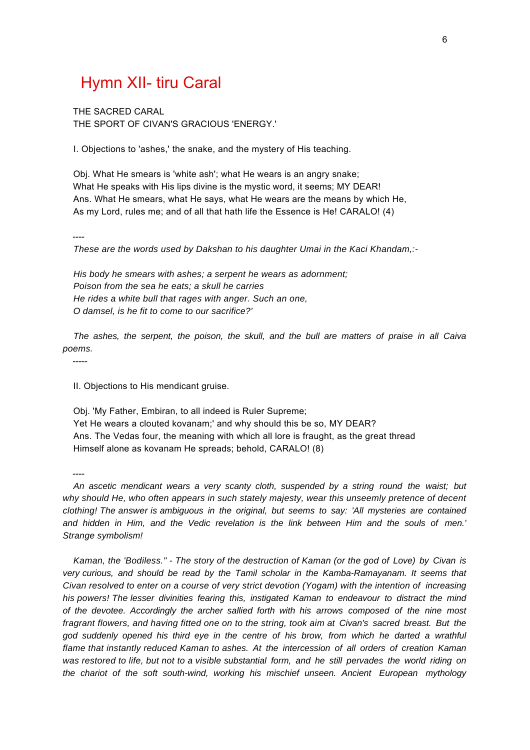### Hymn XII- tiru Caral

 THE SACRED CARAL THE SPORT OF CIVAN'S GRACIOUS 'ENERGY.'

I. Objections to 'ashes,' the snake, and the mystery of His teaching.

 Obj. What He smears is 'white ash'; what He wears is an angry snake; What He speaks with His lips divine is the mystic word, it seems; MY DEAR! Ans. What He smears, what He says, what He wears are the means by which He, As my Lord, rules me; and of all that hath life the Essence is He! CARALO! (4)

----

 *These are the words used by Dakshan to his daughter Umai in the Kaci Khandam,:-*

 *His body he smears with ashes; a serpent he wears as adornment; Poison from the sea he eats; a skull he carries He rides a white bull that rages with anger. Such an one, O damsel, is he fit to come to our sacrifice?'*

 *The ashes, the serpent, the poison, the skull, and the bull are matters of praise in all Caiva poems.*

-----

II. Objections to His mendicant gruise.

 Obj. 'My Father, Embiran, to all indeed is Ruler Supreme; Yet He wears a clouted kovanam;' and why should this be so, MY DEAR? Ans. The Vedas four, the meaning with which all lore is fraught, as the great thread Himself alone as kovanam He spreads; behold, CARALO! (8)

----

 *An ascetic mendicant wears a very scanty cloth, suspended by a string round the waist; but why should He, who often appears in such stately majesty, wear this unseemly pretence of decent clothing! The answer is ambiguous in the original, but seems to say: 'All mysteries are contained and hidden in Him, and the Vedic revelation is the link between Him and the souls of men.' Strange symbolism!*

 *Kaman, the 'Bodiless." - The story of the destruction of Kaman (or the god of Love) by Civan is very curious, and should be read by the Tamil scholar in the Kamba-Ramayanam. It seems that Civan resolved to enter on a course of very strict devotion (Yogam) with the intention of increasing his powers! The lesser divinities fearing this, instigated Kaman to endeavour to distract the mind of the devotee. Accordingly the archer sallied forth with his arrows composed of the nine most fragrant flowers, and having fitted one on to the string, took aim at Civan's sacred breast. But the god suddenly opened his third eye in the centre of his brow, from which he darted a wrathful flame that instantly reduced Kaman to ashes. At the intercession of all orders of creation Kaman was restored to life, but not to a visible substantial form, and he still pervades the world riding on the chariot of the soft south-wind, working his mischief unseen. Ancient European mythology*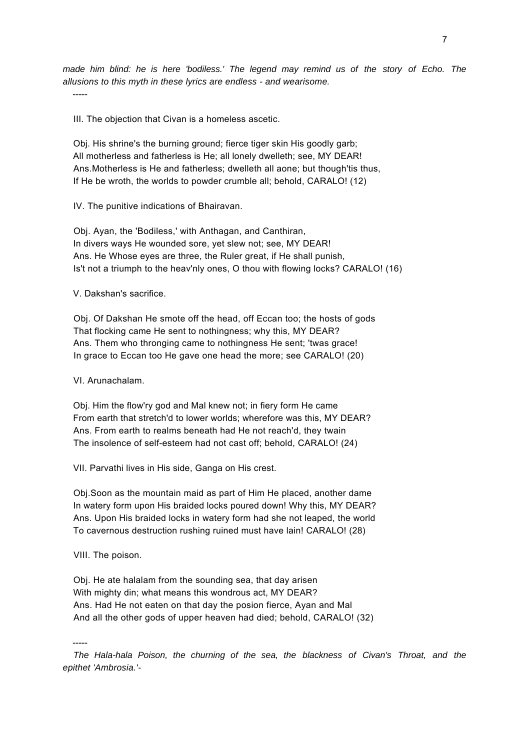*made him blind: he is here 'bodiless.' The legend may remind us of the story of Echo. The allusions to this myth in these lyrics are endless - and wearisome.* -----

III. The objection that Civan is a homeless ascetic.

 Obj. His shrine's the burning ground; fierce tiger skin His goodly garb; All motherless and fatherless is He; all lonely dwelleth; see, MY DEAR! Ans.Motherless is He and fatherless; dwelleth all aone; but though'tis thus, If He be wroth, the worlds to powder crumble all; behold, CARALO! (12)

IV. The punitive indications of Bhairavan.

 Obj. Ayan, the 'Bodiless,' with Anthagan, and Canthiran, In divers ways He wounded sore, yet slew not; see, MY DEAR! Ans. He Whose eyes are three, the Ruler great, if He shall punish, Is't not a triumph to the heav'nly ones, O thou with flowing locks? CARALO! (16)

V. Dakshan's sacrifice.

 Obj. Of Dakshan He smote off the head, off Eccan too; the hosts of gods That flocking came He sent to nothingness; why this, MY DEAR? Ans. Them who thronging came to nothingness He sent; 'twas grace! In grace to Eccan too He gave one head the more; see CARALO! (20)

VI. Arunachalam.

 Obj. Him the flow'ry god and Mal knew not; in fiery form He came From earth that stretch'd to lower worlds; wherefore was this, MY DEAR? Ans. From earth to realms beneath had He not reach'd, they twain The insolence of self-esteem had not cast off; behold, CARALO! (24)

VII. Parvathi lives in His side, Ganga on His crest.

 Obj.Soon as the mountain maid as part of Him He placed, another dame In watery form upon His braided locks poured down! Why this, MY DEAR? Ans. Upon His braided locks in watery form had she not leaped, the world To cavernous destruction rushing ruined must have lain! CARALO! (28)

VIII. The poison.

 Obj. He ate halalam from the sounding sea, that day arisen With mighty din; what means this wondrous act, MY DEAR? Ans. Had He not eaten on that day the posion fierce, Ayan and Mal And all the other gods of upper heaven had died; behold, CARALO! (32)

-----

 *The Hala-hala Poison, the churning of the sea, the blackness of Civan's Throat, and the epithet 'Ambrosia.'-*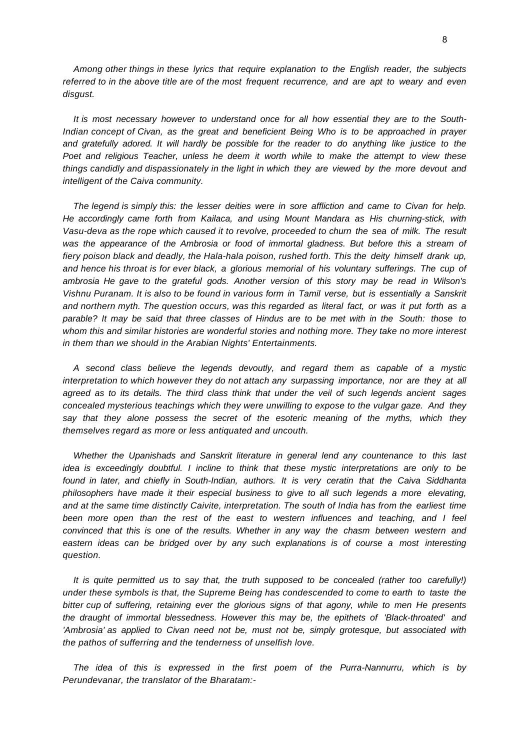*Among other things in these lyrics that require explanation to the English reader, the subjects referred to in the above title are of the most frequent recurrence, and are apt to weary and even disgust.*

 *It is most necessary however to understand once for all how essential they are to the South-Indian concept of Civan, as the great and beneficient Being Who is to be approached in prayer and gratefully adored. It will hardly be possible for the reader to do anything like justice to the Poet and religious Teacher, unless he deem it worth while to make the attempt to view these things candidly and dispassionately in the light in which they are viewed by the more devout and intelligent of the Caiva community.*

 *The legend is simply this: the lesser deities were in sore affliction and came to Civan for help. He accordingly came forth from Kailaca, and using Mount Mandara as His churning-stick, with Vasu-deva as the rope which caused it to revolve, proceeded to churn the sea of milk. The result was the appearance of the Ambrosia or food of immortal gladness. But before this a stream of fiery poison black and deadly, the Hala-hala poison, rushed forth. This the deity himself drank up, and hence his throat is for ever black, a glorious memorial of his voluntary sufferings. The cup of ambrosia He gave to the grateful gods. Another version of this story may be read in Wilson's Vishnu Puranam. It is also to be found in various form in Tamil verse, but is essentially a Sanskrit and northern myth. The question occurs, was this regarded as literal fact, or was it put forth as a parable? It may be said that three classes of Hindus are to be met with in the South: those to whom this and similar histories are wonderful stories and nothing more. They take no more interest in them than we should in the Arabian Nights' Entertainments.*

 *A second class believe the legends devoutly, and regard them as capable of a mystic interpretation to which however they do not attach any surpassing importance, nor are they at all agreed as to its details. The third class think that under the veil of such legends ancient sages concealed mysterious teachings which they were unwilling to expose to the vulgar gaze. And they say that they alone possess the secret of the esoteric meaning of the myths, which they themselves regard as more or less antiquated and uncouth.*

 *Whether the Upanishads and Sanskrit literature in general lend any countenance to this last idea is exceedingly doubtful. I incline to think that these mystic interpretations are only to be found in later, and chiefly in South-Indian, authors. It is very ceratin that the Caiva Siddhanta philosophers have made it their especial business to give to all such legends a more elevating, and at the same time distinctly Caivite, interpretation. The south of India has from the earliest time been more open than the rest of the east to western influences and teaching, and I feel convinced that this is one of the results. Whether in any way the chasm between western and eastern ideas can be bridged over by any such explanations is of course a most interesting question.*

 *It is quite permitted us to say that, the truth supposed to be concealed (rather too carefully!) under these symbols is that, the Supreme Being has condescended to come to earth to taste the bitter cup of suffering, retaining ever the glorious signs of that agony, while to men He presents the draught of immortal blessedness. However this may be, the epithets of 'Black-throated' and 'Ambrosia' as applied to Civan need not be, must not be, simply grotesque, but associated with the pathos of sufferring and the tenderness of unselfish love.*

 *The idea of this is expressed in the first poem of the Purra-Nannurru, which is by Perundevanar, the translator of the Bharatam:-*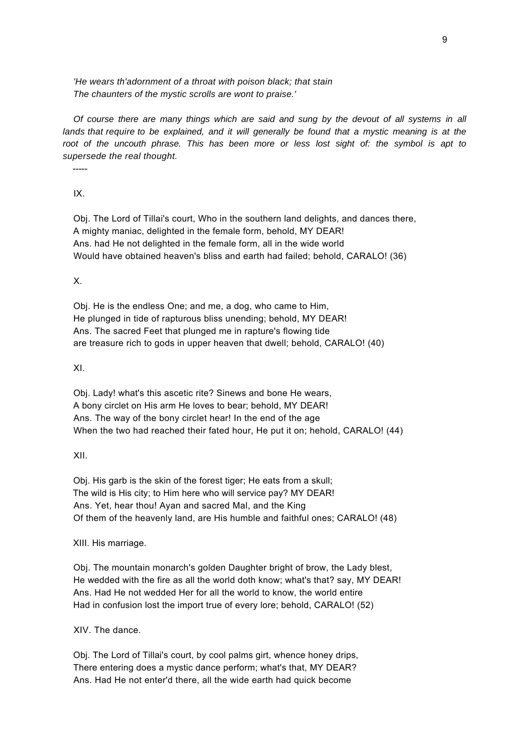*'He wears th'adornment of a throat with poison black; that stain The chaunters of the mystic scrolls are wont to praise.'*

 *Of course there are many things which are said and sung by the devout of all systems in all lands that require to be explained, and it will generally be found that a mystic meaning is at the root of the uncouth phrase. This has been more or less lost sight of: the symbol is apt to supersede the real thought.*

-----

IX.

 Obj. The Lord of Tillai's court, Who in the southern land delights, and dances there, A mighty maniac, delighted in the female form, behold, MY DEAR! Ans. had He not delighted in the female form, all in the wide world Would have obtained heaven's bliss and earth had failed; behold, CARALO! (36)

X.

 Obj. He is the endless One; and me, a dog, who came to Him, He plunged in tide of rapturous bliss unending; behold, MY DEAR! Ans. The sacred Feet that plunged me in rapture's flowing tide are treasure rich to gods in upper heaven that dwell; behold, CARALO! (40)

XI.

 Obj. Lady! what's this ascetic rite? Sinews and bone He wears, A bony circlet on His arm He loves to bear; behold, MY DEAR! Ans. The way of the bony circlet hear! In the end of the age When the two had reached their fated hour, He put it on; hehold, CARALO! (44)

XII.

 Obj. His garb is the skin of the forest tiger; He eats from a skull; The wild is His city; to Him here who will service pay? MY DEAR! Ans. Yet, hear thou! Ayan and sacred Mal, and the King Of them of the heavenly land, are His humble and faithful ones; CARALO! (48)

XIII. His marriage.

 Obj. The mountain monarch's golden Daughter bright of brow, the Lady blest, He wedded with the fire as all the world doth know; what's that? say, MY DEAR! Ans. Had He not wedded Her for all the world to know, the world entire Had in confusion lost the import true of every lore; behold, CARALO! (52)

XIV. The dance.

 Obj. The Lord of Tillai's court, by cool palms girt, whence honey drips, There entering does a mystic dance perform; what's that, MY DEAR? Ans. Had He not enter'd there, all the wide earth had quick become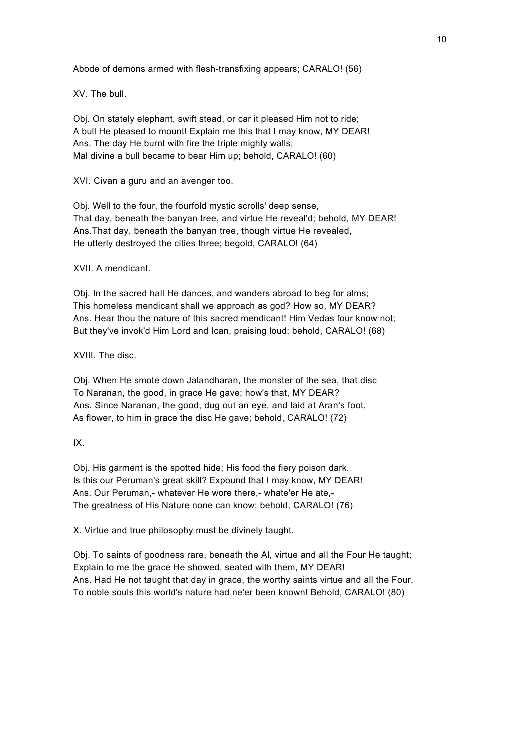Abode of demons armed with flesh-transfixing appears; CARALO! (56)

XV. The bull.

 Obj. On stately elephant, swift stead, or car it pleased Him not to ride; A bull He pleased to mount! Explain me this that I may know, MY DEAR! Ans. The day He burnt with fire the triple mighty walls, Mal divine a bull became to bear Him up; behold, CARALO! (60)

XVI. Civan a guru and an avenger too.

 Obj. Well to the four, the fourfold mystic scrolls' deep sense, That day, beneath the banyan tree, and virtue He reveal'd; behold, MY DEAR! Ans.That day, beneath the banyan tree, though virtue He revealed, He utterly destroyed the cities three; begold, CARALO! (64)

XVII. A mendicant.

 Obj. In the sacred hall He dances, and wanders abroad to beg for alms; This homeless mendicant shall we approach as god? How so, MY DEAR? Ans. Hear thou the nature of this sacred mendicant! Him Vedas four know not; But they've invok'd Him Lord and Ican, praising loud; behold, CARALO! (68)

XVIII. The disc.

 Obj. When He smote down Jalandharan, the monster of the sea, that disc To Naranan, the good, in grace He gave; how's that, MY DEAR? Ans. Since Naranan, the good, dug out an eye, and laid at Aran's foot, As flower, to him in grace the disc He gave; behold, CARALO! (72)

IX.

 Obj. His garment is the spotted hide; His food the fiery poison dark. Is this our Peruman's great skill? Expound that I may know, MY DEAR! Ans. Our Peruman,- whatever He wore there,- whate'er He ate,- The greatness of His Nature none can know; behold, CARALO! (76)

X. Virtue and true philosophy must be divinely taught.

 Obj. To saints of goodness rare, beneath the Al, virtue and all the Four He taught; Explain to me the grace He showed, seated with them, MY DEAR! Ans. Had He not taught that day in grace, the worthy saints virtue and all the Four, To noble souls this world's nature had ne'er been known! Behold, CARALO! (80)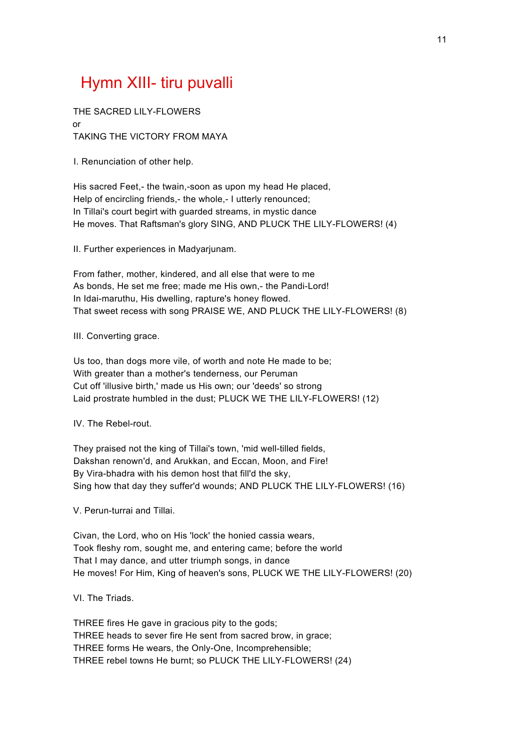## Hymn XIII- tiru puvalli

 THE SACRED LILY-FLOWERS or TAKING THE VICTORY FROM MAYA

I. Renunciation of other help.

 His sacred Feet,- the twain,-soon as upon my head He placed, Help of encircling friends,- the whole,- I utterly renounced; In Tillai's court begirt with guarded streams, in mystic dance He moves. That Raftsman's glory SING, AND PLUCK THE LILY-FLOWERS! (4)

II. Further experiences in Madyarjunam.

 From father, mother, kindered, and all else that were to me As bonds, He set me free; made me His own,- the Pandi-Lord! In Idai-maruthu, His dwelling, rapture's honey flowed. That sweet recess with song PRAISE WE, AND PLUCK THE LILY-FLOWERS! (8)

III. Converting grace.

 Us too, than dogs more vile, of worth and note He made to be; With greater than a mother's tenderness, our Peruman Cut off 'illusive birth,' made us His own; our 'deeds' so strong Laid prostrate humbled in the dust; PLUCK WE THE LILY-FLOWERS! (12)

IV. The Rebel-rout.

 They praised not the king of Tillai's town, 'mid well-tilled fields, Dakshan renown'd, and Arukkan, and Eccan, Moon, and Fire! By Vira-bhadra with his demon host that fill'd the sky, Sing how that day they suffer'd wounds; AND PLUCK THE LILY-FLOWERS! (16)

V. Perun-turrai and Tillai.

 Civan, the Lord, who on His 'lock' the honied cassia wears, Took fleshy rom, sought me, and entering came; before the world That I may dance, and utter triumph songs, in dance He moves! For Him, King of heaven's sons, PLUCK WE THE LILY-FLOWERS! (20)

VI. The Triads.

 THREE fires He gave in gracious pity to the gods; THREE heads to sever fire He sent from sacred brow, in grace; THREE forms He wears, the Only-One, Incomprehensible; THREE rebel towns He burnt; so PLUCK THE LILY-FLOWERS! (24)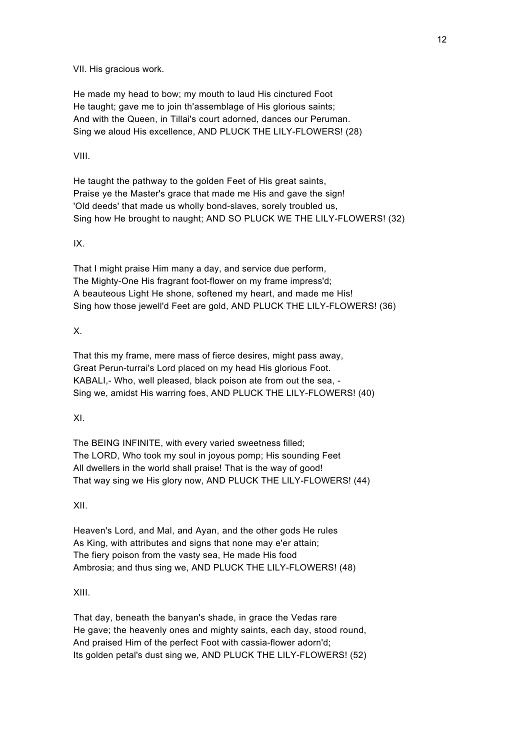VII. His gracious work.

 He made my head to bow; my mouth to laud His cinctured Foot He taught; gave me to join th'assemblage of His glorious saints; And with the Queen, in Tillai's court adorned, dances our Peruman. Sing we aloud His excellence, AND PLUCK THE LILY-FLOWERS! (28)

#### VIII.

 He taught the pathway to the golden Feet of His great saints, Praise ye the Master's grace that made me His and gave the sign! 'Old deeds' that made us wholly bond-slaves, sorely troubled us, Sing how He brought to naught; AND SO PLUCK WE THE LILY-FLOWERS! (32)

#### IX.

 That I might praise Him many a day, and service due perform, The Mighty-One His fragrant foot-flower on my frame impress'd; A beauteous Light He shone, softened my heart, and made me His! Sing how those jewell'd Feet are gold, AND PLUCK THE LILY-FLOWERS! (36)

#### X.

 That this my frame, mere mass of fierce desires, might pass away, Great Perun-turrai's Lord placed on my head His glorious Foot. KABALI,- Who, well pleased, black poison ate from out the sea, - Sing we, amidst His warring foes, AND PLUCK THE LILY-FLOWERS! (40)

#### XI.

 The BEING INFINITE, with every varied sweetness filled; The LORD, Who took my soul in joyous pomp; His sounding Feet All dwellers in the world shall praise! That is the way of good! That way sing we His glory now, AND PLUCK THE LILY-FLOWERS! (44)

#### XII.

 Heaven's Lord, and Mal, and Ayan, and the other gods He rules As King, with attributes and signs that none may e'er attain; The fiery poison from the vasty sea, He made His food Ambrosia; and thus sing we, AND PLUCK THE LILY-FLOWERS! (48)

#### XIII.

 That day, beneath the banyan's shade, in grace the Vedas rare He gave; the heavenly ones and mighty saints, each day, stood round, And praised Him of the perfect Foot with cassia-flower adorn'd; Its golden petal's dust sing we, AND PLUCK THE LILY-FLOWERS! (52)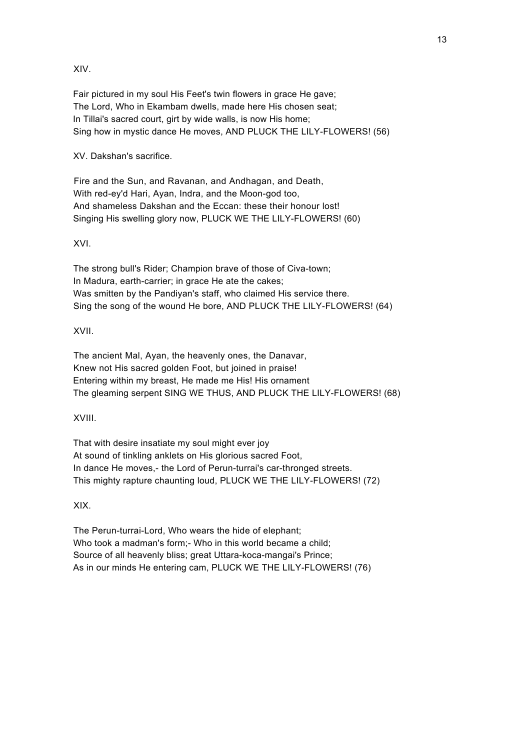XIV.

 Fair pictured in my soul His Feet's twin flowers in grace He gave; The Lord, Who in Ekambam dwells, made here His chosen seat; In Tillai's sacred court, girt by wide walls, is now His home; Sing how in mystic dance He moves, AND PLUCK THE LILY-FLOWERS! (56)

XV. Dakshan's sacrifice.

 Fire and the Sun, and Ravanan, and Andhagan, and Death, With red-ey'd Hari, Ayan, Indra, and the Moon-god too, And shameless Dakshan and the Eccan: these their honour lost! Singing His swelling glory now, PLUCK WE THE LILY-FLOWERS! (60)

XVI.

 The strong bull's Rider; Champion brave of those of Civa-town; In Madura, earth-carrier; in grace He ate the cakes; Was smitten by the Pandiyan's staff, who claimed His service there. Sing the song of the wound He bore, AND PLUCK THE LILY-FLOWERS! (64)

XVII.

 The ancient Mal, Ayan, the heavenly ones, the Danavar, Knew not His sacred golden Foot, but joined in praise! Entering within my breast, He made me His! His ornament The gleaming serpent SING WE THUS, AND PLUCK THE LILY-FLOWERS! (68)

XVIII.

 That with desire insatiate my soul might ever joy At sound of tinkling anklets on His glorious sacred Foot, In dance He moves,- the Lord of Perun-turrai's car-thronged streets. This mighty rapture chaunting loud, PLUCK WE THE LILY-FLOWERS! (72)

XIX.

 The Perun-turrai-Lord, Who wears the hide of elephant; Who took a madman's form;- Who in this world became a child; Source of all heavenly bliss; great Uttara-koca-mangai's Prince; As in our minds He entering cam, PLUCK WE THE LILY-FLOWERS! (76)